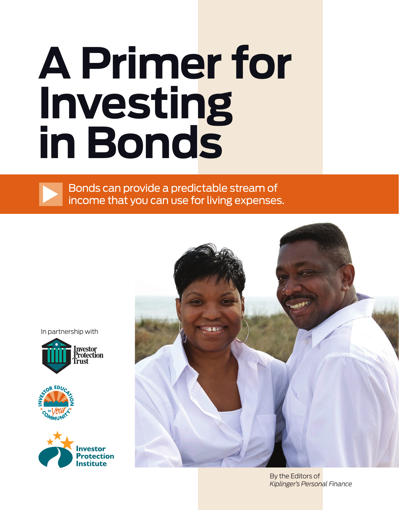# **A Primer for Investing in Bonds**

Bonds can provide a predictable stream of income that you can use for living expenses.

In partnership with









By the Editors of *Kiplinger's Personal Finance*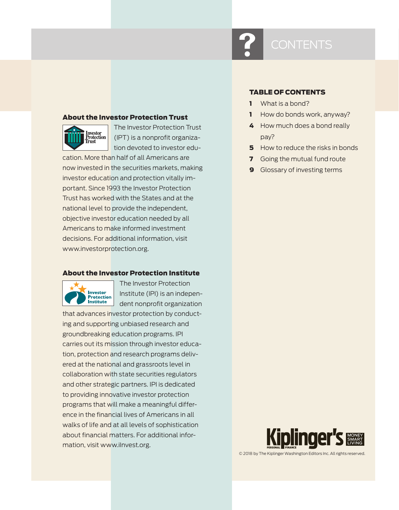#### About the Investor Protection Trust



The Investor Protection Trust (IPT) is a nonprofit organization devoted to investor edu-

cation. More than half of all Americans are now invested in the securities markets, making investor education and protection vitally important. Since 1993 the Investor Protection Trust has worked with the States and at the national level to provide the independent, objective investor education needed by all Americans to make informed investment decisions. For additional information, visit www.investorprotection.org.

#### About the Investor Protection Institute



The Investor Protection Institute (IPI) is an independent nonprofit organization

that advances investor protection by conducting and supporting unbiased research and groundbreaking education programs. IPI carries out its mission through investor education, protection and research programs delivered at the national and grassroots level in collaboration with state securities regulators and other strategic partners. IPI is dedicated to providing innovative investor protection programs that will make a meaningful difference in the financial lives of Americans in all walks of life and at all levels of sophistication about financial matters. For additional information, visit www.ilnvest.org.

#### TABLE OF CONTENTS

- 1 What is a bond?
- 1 How do bonds work, anyway?
- 4 How much does a bond really pay?
- **5** How to reduce the risks in bonds
- **7** Going the mutual fund route
- **9** Glossary of investing terms



© 2018 by The Kiplinger Washington Editors Inc. All rights reserved.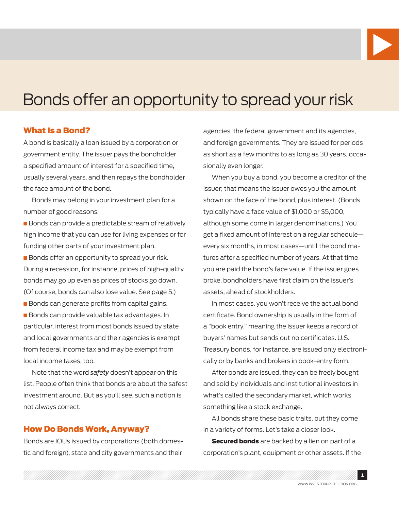

## Bonds offer an opportunity to spread your risk

#### What Is a Bond?

A bond is basically a loan issued by a corporation or government entity. The issuer pays the bondholder a specified amount of interest for a specified time, usually several years, and then repays the bondholder the face amount of the bond.

Bonds may belong in your investment plan for a number of good reasons:

**Bonds can provide a predictable stream of relatively** high income that you can use for living expenses or for funding other parts of your investment plan.

**Bonds offer an opportunity to spread your risk.** During a recession, for instance, prices of high-quality bonds may go up even as prices of stocks go down. (Of course, bonds can also lose value. See page 5.) **n** Bonds can generate profits from capital gains.

**Bonds can provide valuable tax advantages. In** particular, interest from most bonds issued by state and local governments and their agencies is exempt from federal income tax and may be exempt from local income taxes, too.

Note that the word *safety* doesn't appear on this list. People often think that bonds are about the safest investment around. But as you'll see, such a notion is not always correct.

#### How Do Bonds Work, Anyway?

Bonds are IOUs issued by corporations (both domestic and foreign), state and city governments and their

agencies, the federal government and its agencies, and foreign governments. They are issued for periods as short as a few months to as long as 30 years, occasionally even longer.

When you buy a bond, you become a creditor of the issuer; that means the issuer owes you the amount shown on the face of the bond, plus interest. (Bonds typically have a face value of \$1,000 or \$5,000, although some come in larger denominations.) You get a fixed amount of interest on a regular schedule every six months, in most cases—until the bond matures after a specified number of years. At that time you are paid the bond's face value. If the issuer goes broke, bondholders have first claim on the issuer's assets, ahead of stockholders.

In most cases, you won't receive the actual bond certificate. Bond ownership is usually in the form of a "book entry," meaning the issuer keeps a record of buyers' names but sends out no certificates. U.S. Treasury bonds, for instance, are issued only electronically or by banks and brokers in book-entry form.

After bonds are issued, they can be freely bought and sold by individuals and institutional investors in what's called the secondary market, which works something like a stock exchange.

All bonds share these basic traits, but they come in a variety of forms. Let's take a closer look.

**Secured bonds** are backed by a lien on part of a corporation's plant, equipment or other assets. If the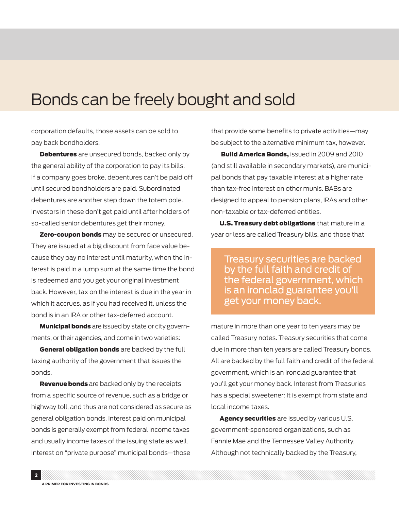## Bonds can be freely bought and sold

corporation defaults, those assets can be sold to pay back bondholders.

**Debentures** are unsecured bonds, backed only by the general ability of the corporation to pay its bills. If a company goes broke, debentures can't be paid off until secured bondholders are paid. Subordinated debentures are another step down the totem pole. Investors in these don't get paid until after holders of so-called senior debentures get their money.

**Zero-coupon bonds** may be secured or unsecured. They are issued at a big discount from face value because they pay no interest until maturity, when the interest is paid in a lump sum at the same time the bond is redeemed and you get your original investment back. However, tax on the interest is due in the year in which it accrues, as if you had received it, unless the bond is in an IRA or other tax-deferred account.

**Municipal bonds** are issued by state or city governments, or their agencies, and come in two varieties:

General obligation bonds are backed by the full taxing authority of the government that issues the bonds.

**Revenue bonds** are backed only by the receipts from a specific source of revenue, such as a bridge or highway toll, and thus are not considered as secure as general obligation bonds. Interest paid on municipal bonds is generally exempt from federal income taxes and usually income taxes of the issuing state as well. Interest on "private purpose" municipal bonds—those

that provide some benefits to private activities—may be subject to the alternative minimum tax, however.

Build America Bonds, issued in 2009 and 2010 (and still available in secondary markets), are municipal bonds that pay taxable interest at a higher rate than tax-free interest on other munis. BABs are designed to appeal to pension plans, IRAs and other non-taxable or tax-deferred entities.

U.S. Treasury debt obligations that mature in a year or less are called Treasury bills, and those that

Treasury securities are backed by the full faith and credit of the federal government, which is an ironclad guarantee you'll get your money back.

mature in more than one year to ten years may be called Treasury notes. Treasury securities that come due in more than ten years are called Treasury bonds. All are backed by the full faith and credit of the federal government, which is an ironclad guarantee that you'll get your money back. Interest from Treasuries has a special sweetener: It is exempt from state and local income taxes.

Agency securities are issued by various U.S. government-sponsored organizations, such as Fannie Mae and the Tennessee Valley Authority. Although not technically backed by the Treasury,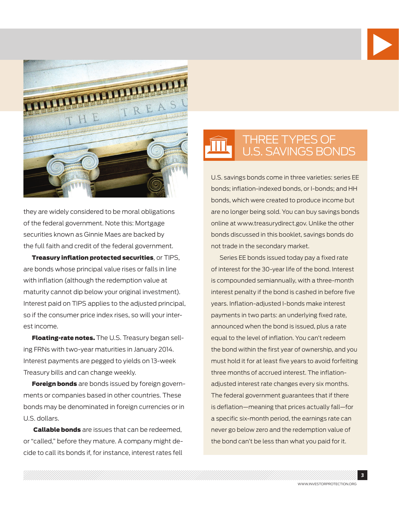



they are widely considered to be moral obligations of the federal government. Note this: Mortgage securities known as Ginnie Maes are backed by the full faith and credit of the federal government.

Treasury inflation protected securities, or TIPS, are bonds whose principal value rises or falls in line with inflation (although the redemption value at maturity cannot dip below your original investment). Interest paid on TIPS applies to the adjusted principal, so if the consumer price index rises, so will your interest income.

Floating-rate notes. The U.S. Treasury began selling FRNs with two-year maturities in January 2014. Interest payments are pegged to yields on 13-week Treasury bills and can change weekly.

**Foreign bonds** are bonds issued by foreign governments or companies based in other countries. These bonds may be denominated in foreign currencies or in U.S. dollars.

**Callable bonds** are issues that can be redeemed, or "called," before they mature. A company might decide to call its bonds if, for instance, interest rates fell

## THREE TYPES OF<br>U.S. SAVINGS BONDS

U.S. savings bonds come in three varieties: series EE bonds; inflation-indexed bonds, or I-bonds; and HH bonds, which were created to produce income but are no longer being sold. You can buy savings bonds online at www.treasurydirect.gov. Unlike the other bonds discussed in this booklet, savings bonds do not trade in the secondary market.

Series EE bonds issued today pay a fixed rate of interest for the 30-year life of the bond. Interest is compounded semiannually, with a three-month interest penalty if the bond is cashed in before five years. Inflation-adjusted I-bonds make interest payments in two parts: an underlying fixed rate, announced when the bond is issued, plus a rate equal to the level of inflation. You can't redeem the bond within the first year of ownership, and you must hold it for at least five years to avoid forfeiting three months of accrued interest. The inflationadjusted interest rate changes every six months. The federal government guarantees that if there is deflation—meaning that prices actually fall—for a specific six-month period, the earnings rate can never go below zero and the redemption value of the bond can't be less than what you paid for it.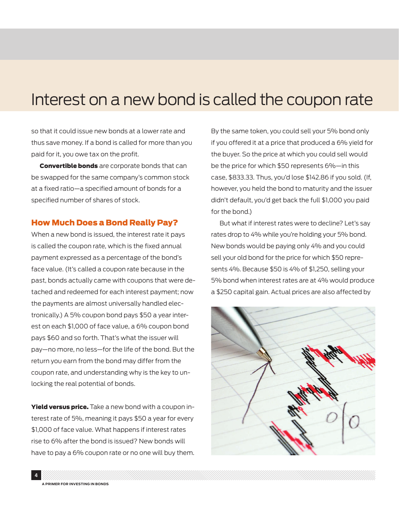## Interest on a new bond is called the coupon rate

so that it could issue new bonds at a lower rate and thus save money. If a bond is called for more than you paid for it, you owe tax on the profit.

**Convertible bonds** are corporate bonds that can be swapped for the same company's common stock at a fixed ratio—a specified amount of bonds for a specified number of shares of stock.

#### How Much Does a Bond Really Pay?

When a new bond is issued, the interest rate it pays is called the coupon rate, which is the fixed annual payment expressed as a percentage of the bond's face value. (It's called a coupon rate because in the past, bonds actually came with coupons that were detached and redeemed for each interest payment; now the payments are almost universally handled electronically.) A 5% coupon bond pays \$50 a year interest on each \$1,000 of face value, a 6% coupon bond pays \$60 and so forth. That's what the issuer will pay—no more, no less—for the life of the bond. But the return you earn from the bond may differ from the coupon rate, and understanding why is the key to unlocking the real potential of bonds.

Yield versus price. Take a new bond with a coupon interest rate of 5%, meaning it pays \$50 a year for every \$1,000 of face value. What happens if interest rates rise to 6% after the bond is issued? New bonds will have to pay a 6% coupon rate or no one will buy them. By the same token, you could sell your 5% bond only if you offered it at a price that produced a 6% yield for the buyer. So the price at which you could sell would be the price for which \$50 represents 6%—in this case, \$833.33. Thus, you'd lose \$142.86 if you sold. (If, however, you held the bond to maturity and the issuer didn't default, you'd get back the full \$1,000 you paid for the bond.)

But what if interest rates were to decline? Let's say rates drop to 4% while you're holding your 5% bond. New bonds would be paying only 4% and you could sell your old bond for the price for which \$50 represents 4%. Because \$50 is 4% of \$1,250, selling your 5% bond when interest rates are at 4% would produce a \$250 capital gain. Actual prices are also affected by

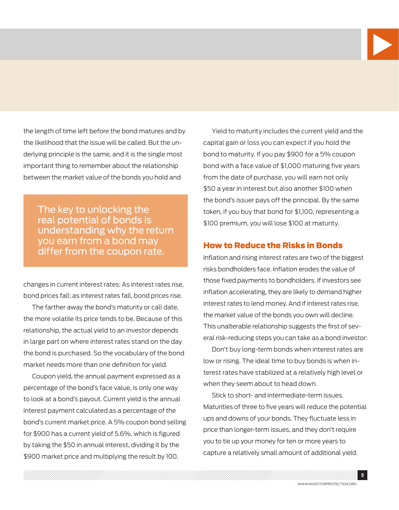

the length of time left before the bond matures and by the likelihood that the issue will be called. But the underlying principle is the same, and it is the single most important thing to remember about the relationship between the market value of the bonds you hold and

The key to unlocking the real potential of bonds is understanding why the return you earn from a bond may differ from the coupon rate.

changes in current interest rates: As interest rates rise, bond prices fall; as interest rates fall, bond prices rise.

The farther away the bond's maturity or call date, the more volatile its price tends to be. Because of this relationship, the actual yield to an investor depends in large part on where interest rates stand on the day the bond is purchased. So the vocabulary of the bond market needs more than one definition for yield.

Coupon yield, the annual payment expressed as a percentage of the bond's face value, is only one way to look at a bond's payout. Current yield is the annual interest payment calculated as a percentage of the bond's current market price. A 5% coupon bond selling for \$900 has a current yield of 5.6%, which is figured by taking the \$50 in annual interest, dividing it by the \$900 market price and multiplying the result by 100.

Yield to maturity includes the current yield and the capital gain or loss you can expect if you hold the bond to maturity. If you pay \$900 for a 5% coupon bond with a face value of \$1,000 maturing five years from the date of purchase, you will earn not only \$50 a year in interest but also another \$100 when the bond's issuer pays off the principal. By the same token, if you buy that bond for \$1,100, representing a \$100 premium, you will lose \$100 at maturity.

#### How to Reduce the Risks in Bonds

Inflation and rising interest rates are two of the biggest risks bondholders face. Inflation erodes the value of those fixed payments to bondholders. If investors see inflation accelerating, they are likely to demand higher interest rates to lend money. And if interest rates rise, the market value of the bonds you own will decline. This unalterable relationship suggests the first of several risk-reducing steps you can take as a bond investor:

Don't buy long-term bonds when interest rates are low or rising. The ideal time to buy bonds is when interest rates have stabilized at a relatively high level or when they seem about to head down.

Stick to short- and intermediate-term issues. Maturities of three to five years will reduce the potential ups and downs of your bonds. They fluctuate less in price than longer-term issues, and they don't require you to tie up your money for ten or more years to capture a relatively small amount of additional yield.

5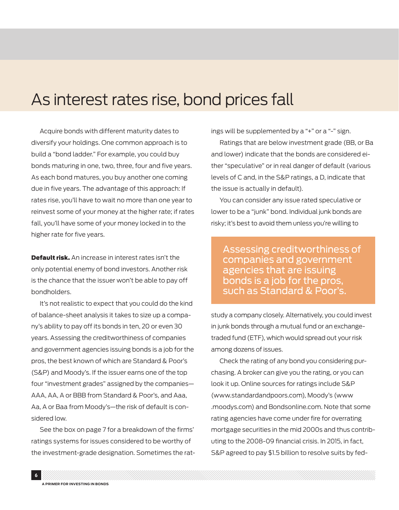## As interest rates rise, bond prices fall

Acquire bonds with different maturity dates to diversify your holdings. One common approach is to build a "bond ladder." For example, you could buy bonds maturing in one, two, three, four and five years. As each bond matures, you buy another one coming due in five years. The advantage of this approach: If rates rise, you'll have to wait no more than one year to reinvest some of your money at the higher rate; if rates fall, you'll have some of your money locked in to the higher rate for five years.

**Default risk.** An increase in interest rates isn't the only potential enemy of bond investors. Another risk is the chance that the issuer won't be able to pay off bondholders.

It's not realistic to expect that you could do the kind of balance-sheet analysis it takes to size up a company's ability to pay off its bonds in ten, 20 or even 30 years. Assessing the creditworthiness of companies and government agencies issuing bonds is a job for the pros, the best known of which are Standard & Poor's (S&P) and Moody's. If the issuer earns one of the top four "investment grades" assigned by the companies— AAA, AA, A or BBB from Standard & Poor's, and Aaa, Aa, A or Baa from Moody's—the risk of default is considered low.

See the box on page 7 for a breakdown of the firms' ratings systems for issues considered to be worthy of the investment-grade designation. Sometimes the ratings will be supplemented by a "+" or a "-" sign.

Ratings that are below investment grade (BB, or Ba and lower) indicate that the bonds are considered either "speculative" or in real danger of default (various levels of C and, in the S&P ratings, a D, indicate that the issue is actually in default).

You can consider any issue rated speculative or lower to be a "junk" bond. Individual junk bonds are risky; it's best to avoid them unless you're willing to

Assessing creditworthiness of companies and government agencies that are issuing bonds is a job for the pros, such as Standard & Poor's.

study a company closely. Alternatively, you could invest in junk bonds through a mutual fund or an exchangetraded fund (ETF), which would spread out your risk among dozens of issues.

Check the rating of any bond you considering purchasing. A broker can give you the rating, or you can look it up. Online sources for ratings include S&P (www.standardandpoors.com), Moody's (www .moodys.com) and Bondsonline.com. Note that some rating agencies have come under fire for overrating mortgage securities in the mid 2000s and thus contributing to the 2008-09 financial crisis. In 2015, in fact, S&P agreed to pay \$1.5 billion to resolve suits by fed-

6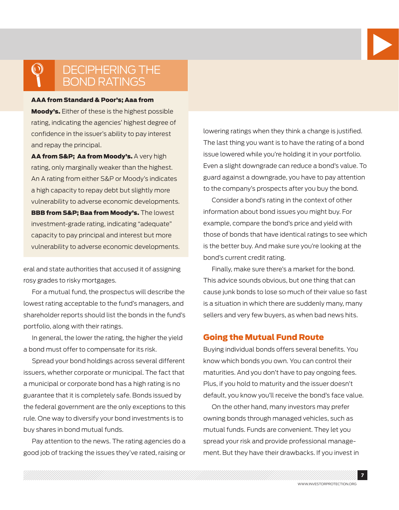

## DECIPHERING THE<br>BOND RATINGS

#### AAA from Standard & Poor's; Aaa from

Moody's. Either of these is the highest possible rating, indicating the agencies' highest degree of confidence in the issuer's ability to pay interest and repay the principal.

AA from S&P; Aa from Moody's. A very high rating, only marginally weaker than the highest. An A rating from either S&P or Moody's indicates a high capacity to repay debt but slightly more vulnerability to adverse economic developments. BBB from S&P; Baa from Moody's. The lowest investment-grade rating, indicating "adequate" capacity to pay principal and interest but more vulnerability to adverse economic developments.

eral and state authorities that accused it of assigning rosy grades to risky mortgages.

For a mutual fund, the prospectus will describe the lowest rating acceptable to the fund's managers, and shareholder reports should list the bonds in the fund's portfolio, along with their ratings.

In general, the lower the rating, the higher the yield a bond must offer to compensate for its risk.

Spread your bond holdings across several different issuers, whether corporate or municipal. The fact that a municipal or corporate bond has a high rating is no guarantee that it is completely safe. Bonds issued by the federal government are the only exceptions to this rule. One way to diversify your bond investments is to buy shares in bond mutual funds.

Pay attention to the news. The rating agencies do a good job of tracking the issues they've rated, raising or

lowering ratings when they think a change is justified. The last thing you want is to have the rating of a bond issue lowered while you're holding it in your portfolio. Even a slight downgrade can reduce a bond's value. To guard against a downgrade, you have to pay attention to the company's prospects after you buy the bond.

Consider a bond's rating in the context of other information about bond issues you might buy. For example, compare the bond's price and yield with those of bonds that have identical ratings to see which is the better buy. And make sure you're looking at the bond's current credit rating.

Finally, make sure there's a market for the bond. This advice sounds obvious, but one thing that can cause junk bonds to lose so much of their value so fast is a situation in which there are suddenly many, many sellers and very few buyers, as when bad news hits.

#### Going the Mutual Fund Route

Buying individual bonds offers several benefits. You know which bonds you own. You can control their maturities. And you don't have to pay ongoing fees. Plus, if you hold to maturity and the issuer doesn't default, you know you'll receive the bond's face value.

On the other hand, many investors may prefer owning bonds through managed vehicles, such as mutual funds. Funds are convenient. They let you spread your risk and provide professional management. But they have their drawbacks. If you invest in

7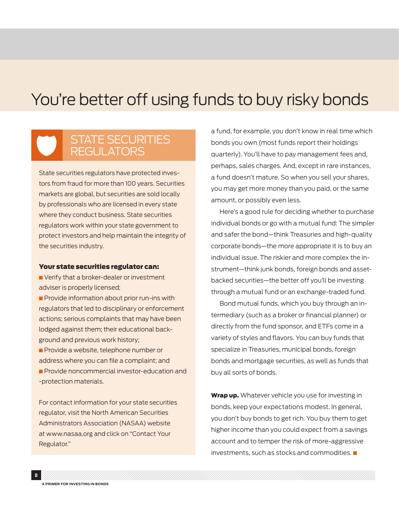## You're better off using funds to buy risky bonds

### STATE SECURITIES **REGULATORS**

State securities regulators have protected investors from fraud for more than 100 years. Securities markets are global, but securities are sold locally by professionals who are licensed in every state where they conduct business. State securities regulators work within your state government to protect investors and help maintain the integrity of the securities industry.

#### Your state securities regulator can:

 $\blacksquare$  Verify that a broker-dealer or investment adviser is properly licensed;

**n** Provide information about prior run-ins with regulators that led to disciplinary or enforcement actions; serious complaints that may have been lodged against them; their educational background and previous work history;

**n** Provide a website, telephone number or address where you can file a complaint; and **n** Provide noncommercial investor-education and -protection materials.

For contact information for your state securities regulator, visit the North American Securities Administrators Association (NASAA) website at www.nasaa.org and click on "Contact Your Regulator."

a fund, for example, you don't know in real time which bonds you own (most funds report their holdings quarterly). You'll have to pay management fees and, perhaps, sales charges. And, except in rare instances, a fund doesn't mature. So when you sell your shares, you may get more money than you paid, or the same amount, or possibly even less.

Here's a good rule for deciding whether to purchase individual bonds or go with a mutual fund: The simpler and safer the bond—think Treasuries and high-quality corporate bonds—the more appropriate it is to buy an individual issue. The riskier and more complex the instrument—think junk bonds, foreign bonds and assetbacked securities—the better off you'll be investing through a mutual fund or an exchange-traded fund.

Bond mutual funds, which you buy through an intermediary (such as a broker or financial planner) or directly from the fund sponsor, and ETFs come in a variety of styles and flavors. You can buy funds that specialize in Treasuries, municipal bonds, foreign bonds and mortgage securities, as well as funds that buy all sorts of bonds.

Wrap up. Whatever vehicle you use for investing in bonds, keep your expectations modest. In general, you don't buy bonds to get rich. You buy them to get higher income than you could expect from a savings account and to temper the risk of more-aggressive  $investments$ , such as stocks and commodities.  $\blacksquare$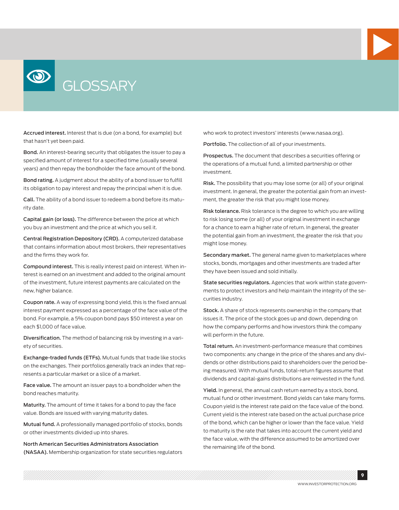



Accrued interest. Interest that is due (on a bond, for example) but that hasn't yet been paid.

Bond. An interest-bearing security that obligates the issuer to pay a specified amount of interest for a specified time (usually several years) and then repay the bondholder the face amount of the bond.

Bond rating. A judgment about the ability of a bond issuer to fulfill its obligation to pay interest and repay the principal when it is due.

Call. The ability of a bond issuer to redeem a bond before its maturity date.

Capital gain (or loss). The difference between the price at which you buy an investment and the price at which you sell it.

Central Registration Depository (CRD). A computerized database that contains information about most brokers, their representatives and the firms they work for.

Compound interest. This is really interest paid on interest. When interest is earned on an investment and added to the original amount of the investment, future interest payments are calculated on the new, higher balance.

Coupon rate. A way of expressing bond yield, this is the fixed annual interest payment expressed as a percentage of the face value of the bond. For example, a 5% coupon bond pays \$50 interest a year on each \$1,000 of face value.

Diversification. The method of balancing risk by investing in a variety of securities.

Exchange-traded funds (ETFs). Mutual funds that trade like stocks on the exchanges. Their portfolios generally track an index that represents a particular market or a slice of a market.

Face value. The amount an issuer pays to a bondholder when the bond reaches maturity.

Maturity. The amount of time it takes for a bond to pay the face value. Bonds are issued with varying maturity dates.

Mutual fund. A professionally managed portfolio of stocks, bonds or other investments divided up into shares.

North American Securities Administrators Association (NASAA). Membership organization for state securities regulators who work to protect investors' interests (www.nasaa.org).

Portfolio. The collection of all of your investments.

Prospectus. The document that describes a securities offering or the operations of a mutual fund, a limited partnership or other investment.

Risk. The possibility that you may lose some (or all) of your original investment. In general, the greater the potential gain from an investment, the greater the risk that you might lose money.

Risk tolerance. Risk tolerance is the degree to which you are willing to risk losing some (or all) of your original investment in exchange for a chance to earn a higher rate of return. In general, the greater the potential gain from an investment, the greater the risk that you might lose money.

Secondary market. The general name given to marketplaces where stocks, bonds, mortgages and other investments are traded after they have been issued and sold initially.

State securities regulators. Agencies that work within state governments to protect investors and help maintain the integrity of the securities industry.

Stock. A share of stock represents ownership in the company that issues it. The price of the stock goes up and down, depending on how the company performs and how investors think the company will perform in the future.

Total return. An investment-performance measure that combines two components: any change in the price of the shares and any dividends or other distributions paid to shareholders over the period being measured. With mutual funds, total-return figures assume that dividends and capital-gains distributions are reinvested in the fund.

Yield. In general, the annual cash return earned by a stock, bond, mutual fund or other investment. Bond yields can take many forms. Coupon yield is the interest rate paid on the face value of the bond. Current yield is the interest rate based on the actual purchase price of the bond, which can be higher or lower than the face value. Yield to maturity is the rate that takes into account the current yield and the face value, with the difference assumed to be amortized over the remaining life of the bond.